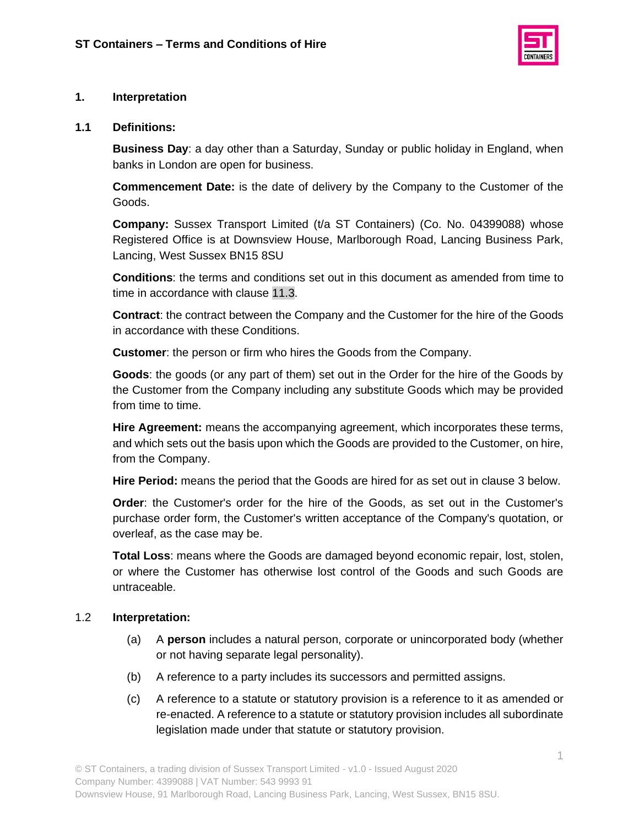

## **1. Interpretation**

#### **1.1 Definitions:**

**Business Day**: a day other than a Saturday, Sunday or public holiday in England, when banks in London are open for business.

**Commencement Date:** is the date of delivery by the Company to the Customer of the Goods.

**Company:** Sussex Transport Limited (t/a ST Containers) (Co. No. 04399088) whose Registered Office is at Downsview House, Marlborough Road, Lancing Business Park, Lancing, West Sussex BN15 8SU

**Conditions**: the terms and conditions set out in this document as amended from time to time in accordance with clause [11.3.](#page-7-0)

**Contract**: the contract between the Company and the Customer for the hire of the Goods in accordance with these Conditions.

**Customer**: the person or firm who hires the Goods from the Company.

**Goods**: the goods (or any part of them) set out in the Order for the hire of the Goods by the Customer from the Company including any substitute Goods which may be provided from time to time.

**Hire Agreement:** means the accompanying agreement, which incorporates these terms, and which sets out the basis upon which the Goods are provided to the Customer, on hire, from the Company.

**Hire Period:** means the period that the Goods are hired for as set out in clause 3 below.

**Order**: the Customer's order for the hire of the Goods, as set out in the Customer's purchase order form, the Customer's written acceptance of the Company's quotation, or overleaf, as the case may be.

**Total Loss**: means where the Goods are damaged beyond economic repair, lost, stolen, or where the Customer has otherwise lost control of the Goods and such Goods are untraceable.

#### 1.2 **Interpretation:**

- (a) A **person** includes a natural person, corporate or unincorporated body (whether or not having separate legal personality).
- (b) A reference to a party includes its successors and permitted assigns.
- (c) A reference to a statute or statutory provision is a reference to it as amended or re-enacted. A reference to a statute or statutory provision includes all subordinate legislation made under that statute or statutory provision.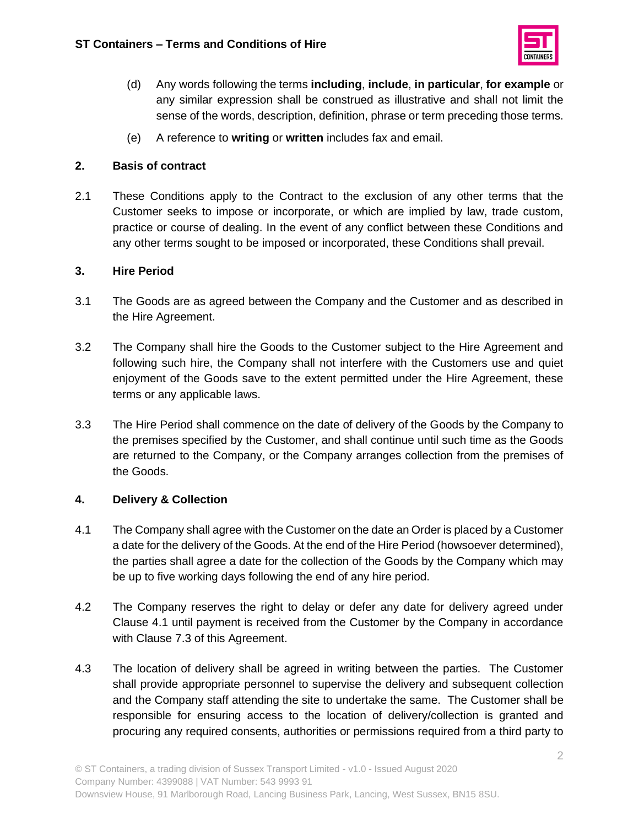

- (d) Any words following the terms **including**, **include**, **in particular**, **for example** or any similar expression shall be construed as illustrative and shall not limit the sense of the words, description, definition, phrase or term preceding those terms.
- (e) A reference to **writing** or **written** includes fax and email.

## **2. Basis of contract**

2.1 These Conditions apply to the Contract to the exclusion of any other terms that the Customer seeks to impose or incorporate, or which are implied by law, trade custom, practice or course of dealing. In the event of any conflict between these Conditions and any other terms sought to be imposed or incorporated, these Conditions shall prevail.

## **3. Hire Period**

- 3.1 The Goods are as agreed between the Company and the Customer and as described in the Hire Agreement.
- 3.2 The Company shall hire the Goods to the Customer subject to the Hire Agreement and following such hire, the Company shall not interfere with the Customers use and quiet enjoyment of the Goods save to the extent permitted under the Hire Agreement, these terms or any applicable laws.
- 3.3 The Hire Period shall commence on the date of delivery of the Goods by the Company to the premises specified by the Customer, and shall continue until such time as the Goods are returned to the Company, or the Company arranges collection from the premises of the Goods.

# **4. Delivery & Collection**

- 4.1 The Company shall agree with the Customer on the date an Order is placed by a Customer a date for the delivery of the Goods. At the end of the Hire Period (howsoever determined), the parties shall agree a date for the collection of the Goods by the Company which may be up to five working days following the end of any hire period.
- 4.2 The Company reserves the right to delay or defer any date for delivery agreed under Clause 4.1 until payment is received from the Customer by the Company in accordance with Clause 7.3 of this Agreement.
- 4.3 The location of delivery shall be agreed in writing between the parties. The Customer shall provide appropriate personnel to supervise the delivery and subsequent collection and the Company staff attending the site to undertake the same. The Customer shall be responsible for ensuring access to the location of delivery/collection is granted and procuring any required consents, authorities or permissions required from a third party to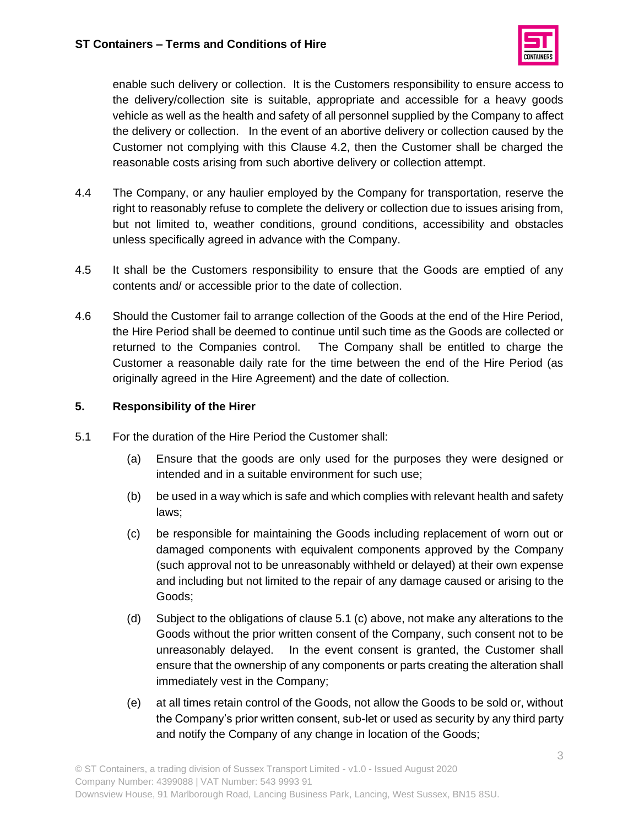

enable such delivery or collection. It is the Customers responsibility to ensure access to the delivery/collection site is suitable, appropriate and accessible for a heavy goods vehicle as well as the health and safety of all personnel supplied by the Company to affect the delivery or collection. In the event of an abortive delivery or collection caused by the Customer not complying with this Clause 4.2, then the Customer shall be charged the reasonable costs arising from such abortive delivery or collection attempt.

- 4.4 The Company, or any haulier employed by the Company for transportation, reserve the right to reasonably refuse to complete the delivery or collection due to issues arising from, but not limited to, weather conditions, ground conditions, accessibility and obstacles unless specifically agreed in advance with the Company.
- 4.5 It shall be the Customers responsibility to ensure that the Goods are emptied of any contents and/ or accessible prior to the date of collection.
- 4.6 Should the Customer fail to arrange collection of the Goods at the end of the Hire Period, the Hire Period shall be deemed to continue until such time as the Goods are collected or returned to the Companies control. The Company shall be entitled to charge the Customer a reasonable daily rate for the time between the end of the Hire Period (as originally agreed in the Hire Agreement) and the date of collection.

## **5. Responsibility of the Hirer**

- 5.1 For the duration of the Hire Period the Customer shall:
	- (a) Ensure that the goods are only used for the purposes they were designed or intended and in a suitable environment for such use;
	- (b) be used in a way which is safe and which complies with relevant health and safety laws;
	- (c) be responsible for maintaining the Goods including replacement of worn out or damaged components with equivalent components approved by the Company (such approval not to be unreasonably withheld or delayed) at their own expense and including but not limited to the repair of any damage caused or arising to the Goods;
	- (d) Subject to the obligations of clause 5.1 (c) above, not make any alterations to the Goods without the prior written consent of the Company, such consent not to be unreasonably delayed. In the event consent is granted, the Customer shall ensure that the ownership of any components or parts creating the alteration shall immediately vest in the Company;
	- (e) at all times retain control of the Goods, not allow the Goods to be sold or, without the Company's prior written consent, sub-let or used as security by any third party and notify the Company of any change in location of the Goods;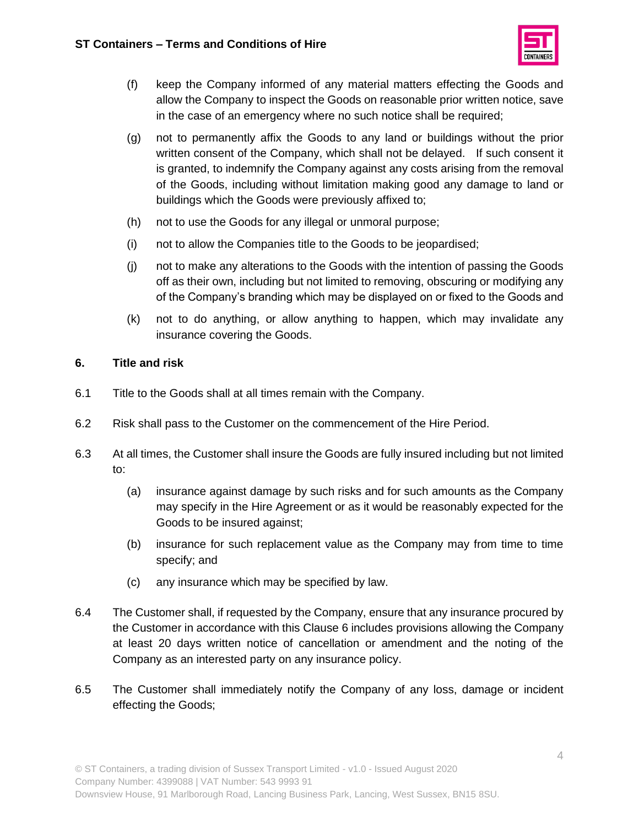

- (f) keep the Company informed of any material matters effecting the Goods and allow the Company to inspect the Goods on reasonable prior written notice, save in the case of an emergency where no such notice shall be required;
- (g) not to permanently affix the Goods to any land or buildings without the prior written consent of the Company, which shall not be delayed. If such consent it is granted, to indemnify the Company against any costs arising from the removal of the Goods, including without limitation making good any damage to land or buildings which the Goods were previously affixed to;
- (h) not to use the Goods for any illegal or unmoral purpose;
- (i) not to allow the Companies title to the Goods to be jeopardised;
- (j) not to make any alterations to the Goods with the intention of passing the Goods off as their own, including but not limited to removing, obscuring or modifying any of the Company's branding which may be displayed on or fixed to the Goods and
- (k) not to do anything, or allow anything to happen, which may invalidate any insurance covering the Goods.

## **6. Title and risk**

- 6.1 Title to the Goods shall at all times remain with the Company.
- 6.2 Risk shall pass to the Customer on the commencement of the Hire Period.
- 6.3 At all times, the Customer shall insure the Goods are fully insured including but not limited to:
	- (a) insurance against damage by such risks and for such amounts as the Company may specify in the Hire Agreement or as it would be reasonably expected for the Goods to be insured against;
	- (b) insurance for such replacement value as the Company may from time to time specify; and
	- (c) any insurance which may be specified by law.
- 6.4 The Customer shall, if requested by the Company, ensure that any insurance procured by the Customer in accordance with this Clause 6 includes provisions allowing the Company at least 20 days written notice of cancellation or amendment and the noting of the Company as an interested party on any insurance policy.
- 6.5 The Customer shall immediately notify the Company of any loss, damage or incident effecting the Goods;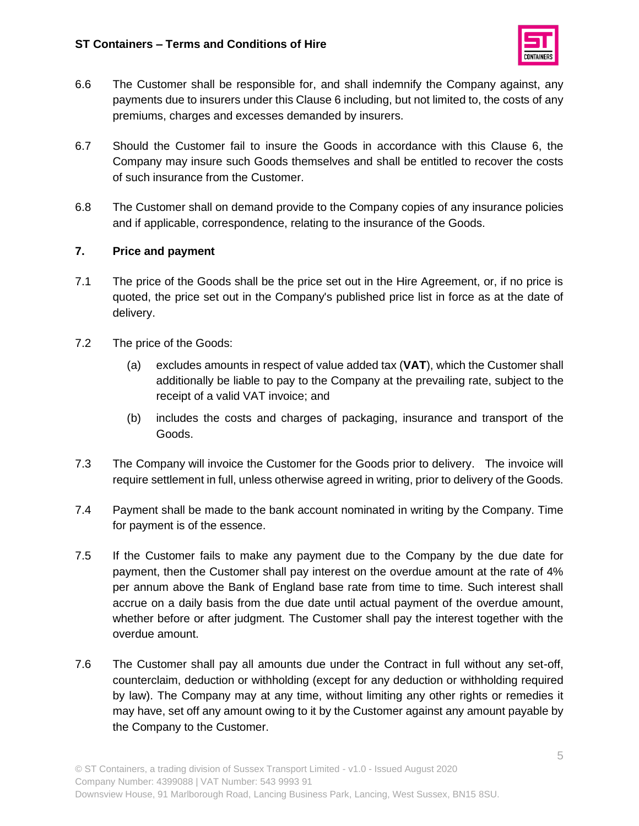

- 6.6 The Customer shall be responsible for, and shall indemnify the Company against, any payments due to insurers under this Clause 6 including, but not limited to, the costs of any premiums, charges and excesses demanded by insurers.
- 6.7 Should the Customer fail to insure the Goods in accordance with this Clause 6, the Company may insure such Goods themselves and shall be entitled to recover the costs of such insurance from the Customer.
- 6.8 The Customer shall on demand provide to the Company copies of any insurance policies and if applicable, correspondence, relating to the insurance of the Goods.

#### **7. Price and payment**

- 7.1 The price of the Goods shall be the price set out in the Hire Agreement, or, if no price is quoted, the price set out in the Company's published price list in force as at the date of delivery.
- 7.2 The price of the Goods:
	- (a) excludes amounts in respect of value added tax (**VAT**), which the Customer shall additionally be liable to pay to the Company at the prevailing rate, subject to the receipt of a valid VAT invoice; and
	- (b) includes the costs and charges of packaging, insurance and transport of the Goods.
- 7.3 The Company will invoice the Customer for the Goods prior to delivery. The invoice will require settlement in full, unless otherwise agreed in writing, prior to delivery of the Goods.
- 7.4 Payment shall be made to the bank account nominated in writing by the Company. Time for payment is of the essence.
- 7.5 If the Customer fails to make any payment due to the Company by the due date for payment, then the Customer shall pay interest on the overdue amount at the rate of 4% per annum above the Bank of England base rate from time to time. Such interest shall accrue on a daily basis from the due date until actual payment of the overdue amount, whether before or after judgment. The Customer shall pay the interest together with the overdue amount.
- 7.6 The Customer shall pay all amounts due under the Contract in full without any set-off, counterclaim, deduction or withholding (except for any deduction or withholding required by law). The Company may at any time, without limiting any other rights or remedies it may have, set off any amount owing to it by the Customer against any amount payable by the Company to the Customer.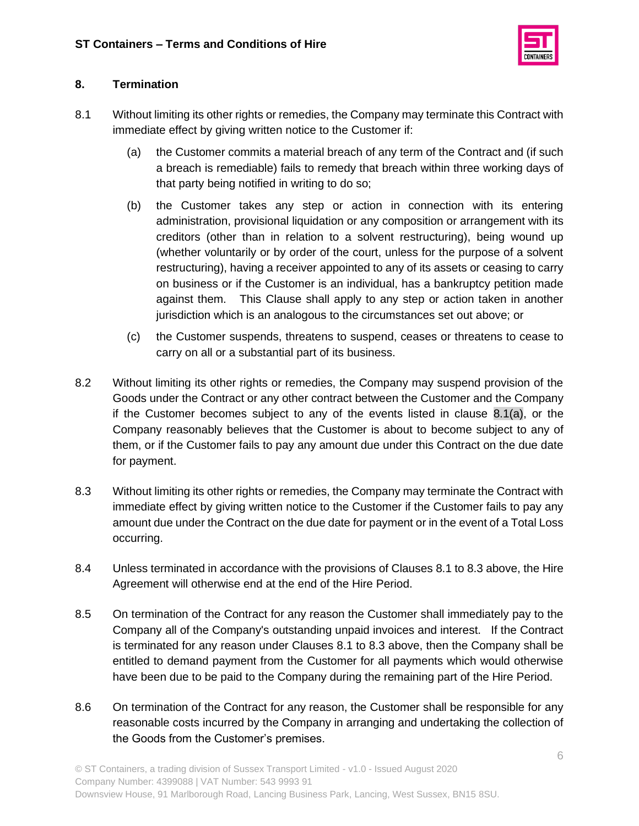

# **8. Termination**

- <span id="page-5-0"></span>8.1 Without limiting its other rights or remedies, the Company may terminate this Contract with immediate effect by giving written notice to the Customer if:
	- (a) the Customer commits a material breach of any term of the Contract and (if such a breach is remediable) fails to remedy that breach within three working days of that party being notified in writing to do so;
	- (b) the Customer takes any step or action in connection with its entering administration, provisional liquidation or any composition or arrangement with its creditors (other than in relation to a solvent restructuring), being wound up (whether voluntarily or by order of the court, unless for the purpose of a solvent restructuring), having a receiver appointed to any of its assets or ceasing to carry on business or if the Customer is an individual, has a bankruptcy petition made against them. This Clause shall apply to any step or action taken in another jurisdiction which is an analogous to the circumstances set out above; or
	- (c) the Customer suspends, threatens to suspend, ceases or threatens to cease to carry on all or a substantial part of its business.
- 8.2 Without limiting its other rights or remedies, the Company may suspend provision of the Goods under the Contract or any other contract between the Customer and the Company if the Customer becomes subject to any of the events listed in clause [8.1\(a\),](#page-5-0) or the Company reasonably believes that the Customer is about to become subject to any of them, or if the Customer fails to pay any amount due under this Contract on the due date for payment.
- 8.3 Without limiting its other rights or remedies, the Company may terminate the Contract with immediate effect by giving written notice to the Customer if the Customer fails to pay any amount due under the Contract on the due date for payment or in the event of a Total Loss occurring.
- 8.4 Unless terminated in accordance with the provisions of Clauses 8.1 to 8.3 above, the Hire Agreement will otherwise end at the end of the Hire Period.
- 8.5 On termination of the Contract for any reason the Customer shall immediately pay to the Company all of the Company's outstanding unpaid invoices and interest. If the Contract is terminated for any reason under Clauses 8.1 to 8.3 above, then the Company shall be entitled to demand payment from the Customer for all payments which would otherwise have been due to be paid to the Company during the remaining part of the Hire Period.
- 8.6 On termination of the Contract for any reason, the Customer shall be responsible for any reasonable costs incurred by the Company in arranging and undertaking the collection of the Goods from the Customer's premises.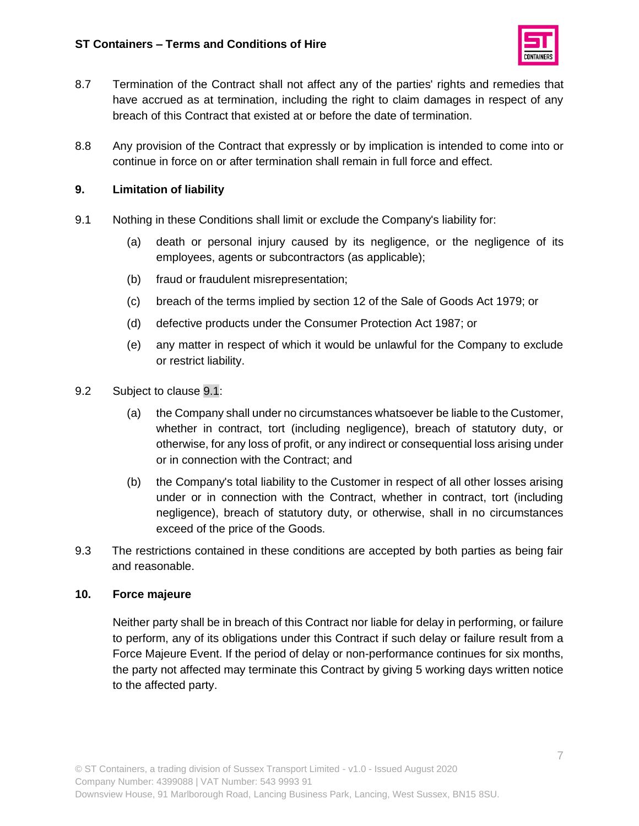

- 8.7 Termination of the Contract shall not affect any of the parties' rights and remedies that have accrued as at termination, including the right to claim damages in respect of any breach of this Contract that existed at or before the date of termination.
- 8.8 Any provision of the Contract that expressly or by implication is intended to come into or continue in force on or after termination shall remain in full force and effect.

#### **9. Limitation of liability**

- <span id="page-6-0"></span>9.1 Nothing in these Conditions shall limit or exclude the Company's liability for:
	- (a) death or personal injury caused by its negligence, or the negligence of its employees, agents or subcontractors (as applicable);
	- (b) fraud or fraudulent misrepresentation;
	- (c) breach of the terms implied by section 12 of the Sale of Goods Act 1979; or
	- (d) defective products under the Consumer Protection Act 1987; or
	- (e) any matter in respect of which it would be unlawful for the Company to exclude or restrict liability.
- 9.2 Subject to clause [9.1:](#page-6-0)
	- (a) the Company shall under no circumstances whatsoever be liable to the Customer, whether in contract, tort (including negligence), breach of statutory duty, or otherwise, for any loss of profit, or any indirect or consequential loss arising under or in connection with the Contract; and
	- (b) the Company's total liability to the Customer in respect of all other losses arising under or in connection with the Contract, whether in contract, tort (including negligence), breach of statutory duty, or otherwise, shall in no circumstances exceed of the price of the Goods.
- 9.3 The restrictions contained in these conditions are accepted by both parties as being fair and reasonable.

#### **10. Force majeure**

Neither party shall be in breach of this Contract nor liable for delay in performing, or failure to perform, any of its obligations under this Contract if such delay or failure result from a Force Majeure Event. If the period of delay or non-performance continues for six months, the party not affected may terminate this Contract by giving 5 working days written notice to the affected party.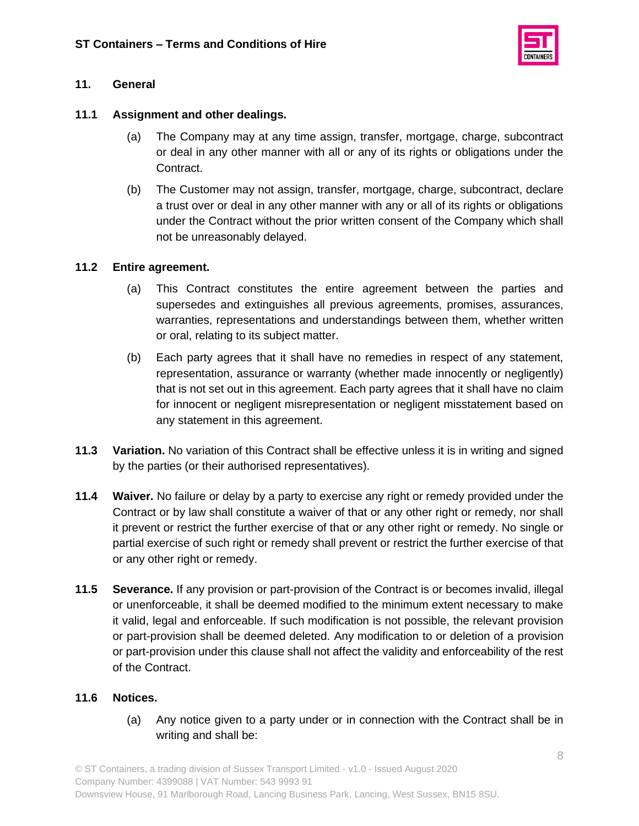

## **11. General**

### **11.1 Assignment and other dealings.**

- (a) The Company may at any time assign, transfer, mortgage, charge, subcontract or deal in any other manner with all or any of its rights or obligations under the Contract.
- (b) The Customer may not assign, transfer, mortgage, charge, subcontract, declare a trust over or deal in any other manner with any or all of its rights or obligations under the Contract without the prior written consent of the Company which shall not be unreasonably delayed.

#### **11.2 Entire agreement.**

- (a) This Contract constitutes the entire agreement between the parties and supersedes and extinguishes all previous agreements, promises, assurances, warranties, representations and understandings between them, whether written or oral, relating to its subject matter.
- (b) Each party agrees that it shall have no remedies in respect of any statement, representation, assurance or warranty (whether made innocently or negligently) that is not set out in this agreement. Each party agrees that it shall have no claim for innocent or negligent misrepresentation or negligent misstatement based on any statement in this agreement.
- <span id="page-7-0"></span>**11.3 Variation.** No variation of this Contract shall be effective unless it is in writing and signed by the parties (or their authorised representatives).
- **11.4 Waiver.** No failure or delay by a party to exercise any right or remedy provided under the Contract or by law shall constitute a waiver of that or any other right or remedy, nor shall it prevent or restrict the further exercise of that or any other right or remedy. No single or partial exercise of such right or remedy shall prevent or restrict the further exercise of that or any other right or remedy.
- **11.5 Severance.** If any provision or part-provision of the Contract is or becomes invalid, illegal or unenforceable, it shall be deemed modified to the minimum extent necessary to make it valid, legal and enforceable. If such modification is not possible, the relevant provision or part-provision shall be deemed deleted. Any modification to or deletion of a provision or part-provision under this clause shall not affect the validity and enforceability of the rest of the Contract.

#### **11.6 Notices.**

(a) Any notice given to a party under or in connection with the Contract shall be in writing and shall be: